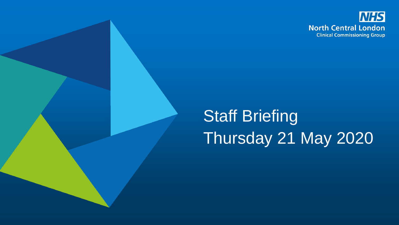

# Staff Briefing Thursday 21 May 2020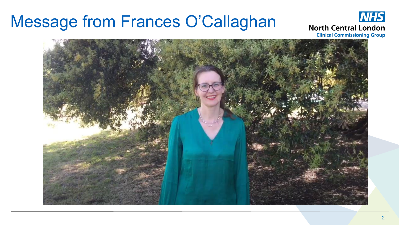#### Message from Frances O'Callaghan



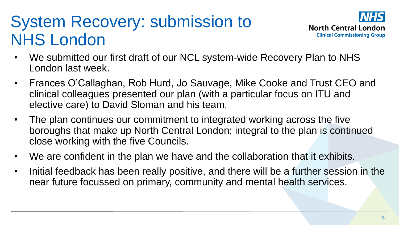# System Recovery: submission to NHS London



- We submitted our first draft of our NCL system-wide Recovery Plan to NHS London last week.
- Frances O'Callaghan, Rob Hurd, Jo Sauvage, Mike Cooke and Trust CEO and clinical colleagues presented our plan (with a particular focus on ITU and elective care) to David Sloman and his team.
- The plan continues our commitment to integrated working across the five boroughs that make up North Central London; integral to the plan is continued close working with the five Councils.
- We are confident in the plan we have and the collaboration that it exhibits.
- Initial feedback has been really positive, and there will be a further session in the near future focussed on primary, community and mental health services.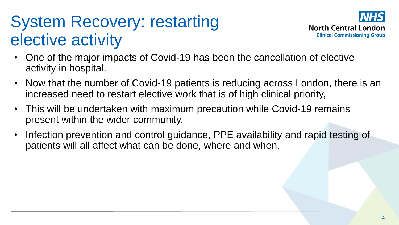# System Recovery: restarting elective activity



- One of the major impacts of Covid-19 has been the cancellation of elective activity in hospital.
- Now that the number of Covid-19 patients is reducing across London, there is an increased need to restart elective work that is of high clinical priority,
- This will be undertaken with maximum precaution while Covid-19 remains present within the wider community.
- Infection prevention and control guidance, PPE availability and rapid testing of patients will all affect what can be done, where and when.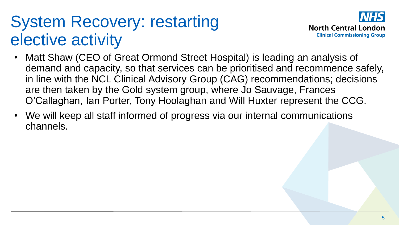# System Recovery: restarting elective activity



- Matt Shaw (CEO of Great Ormond Street Hospital) is leading an analysis of demand and capacity, so that services can be prioritised and recommence safely, in line with the NCL Clinical Advisory Group (CAG) recommendations; decisions are then taken by the Gold system group, where Jo Sauvage, Frances O'Callaghan, Ian Porter, Tony Hoolaghan and Will Huxter represent the CCG.
- We will keep all staff informed of progress via our internal communications channels.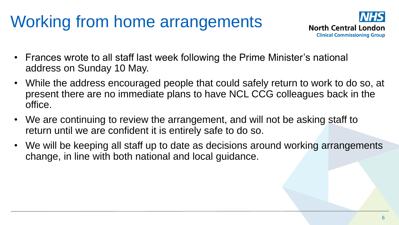# Working from home arrangements



- Frances wrote to all staff last week following the Prime Minister's national address on Sunday 10 May.
- While the address encouraged people that could safely return to work to do so, at present there are no immediate plans to have NCL CCG colleagues back in the office.
- We are continuing to review the arrangement, and will not be asking staff to return until we are confident it is entirely safe to do so.
- We will be keeping all staff up to date as decisions around working arrangements change, in line with both national and local guidance.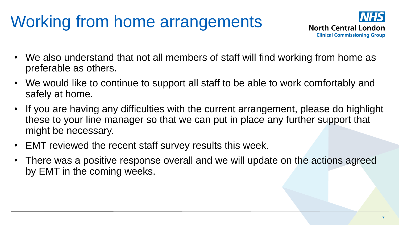# Working from home arrangements



- We also understand that not all members of staff will find working from home as preferable as others.
- We would like to continue to support all staff to be able to work comfortably and safely at home.
- If you are having any difficulties with the current arrangement, please do highlight these to your line manager so that we can put in place any further support that might be necessary.
- EMT reviewed the recent staff survey results this week.
- There was a positive response overall and we will update on the actions agreed by EMT in the coming weeks.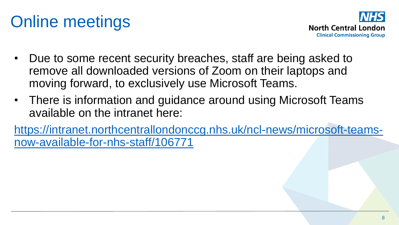# Online meetings



- Due to some recent security breaches, staff are being asked to remove all downloaded versions of Zoom on their laptops and moving forward, to exclusively use Microsoft Teams.
- There is information and guidance around using Microsoft Teams available on the intranet here:

[https://intranet.northcentrallondonccg.nhs.uk/ncl-news/microsoft-teams](https://intranet.northcentrallondonccg.nhs.uk/ncl-news/microsoft-teams-now-available-for-nhs-staff/106771)now-available-for-nhs-staff/106771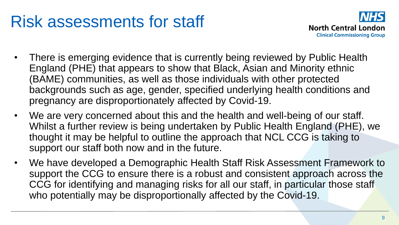### Risk assessments for staff



- There is emerging evidence that is currently being reviewed by Public Health England (PHE) that appears to show that Black, Asian and Minority ethnic (BAME) communities, as well as those individuals with other protected backgrounds such as age, gender, specified underlying health conditions and pregnancy are disproportionately affected by Covid-19.
- We are very concerned about this and the health and well-being of our staff. Whilst a further review is being undertaken by Public Health England (PHE), we thought it may be helpful to outline the approach that NCL CCG is taking to support our staff both now and in the future.
- We have developed a Demographic Health Staff Risk Assessment Framework to support the CCG to ensure there is a robust and consistent approach across the CCG for identifying and managing risks for all our staff, in particular those staff who potentially may be disproportionally affected by the Covid-19.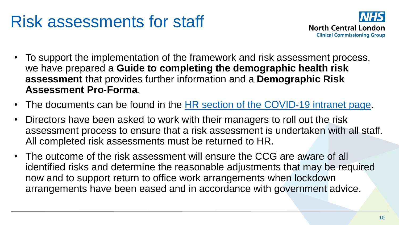### Risk assessments for staff



- To support the implementation of the framework and risk assessment process, we have prepared a **Guide to completing the demographic health risk assessment** that provides further information and a **Demographic Risk Assessment Pro-Forma**.
- The documents can be found in the [HR section of the COVID-19 intranet page.](https://intranet.northcentrallondonccg.nhs.uk/news/covid-19-hr-information.htm)
- Directors have been asked to work with their managers to roll out the risk assessment process to ensure that a risk assessment is undertaken with all staff. All completed risk assessments must be returned to HR.
- The outcome of the risk assessment will ensure the CCG are aware of all identified risks and determine the reasonable adjustments that may be required now and to support return to office work arrangements when lockdown arrangements have been eased and in accordance with government advice.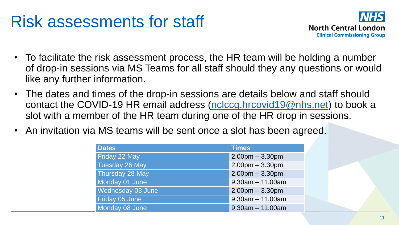#### Risk assessments for staff



- To facilitate the risk assessment process, the HR team will be holding a number of drop-in sessions via MS Teams for all staff should they any questions or would like any further information.
- The dates and times of the drop-in sessions are details below and staff should contact the COVID-19 HR email address [\(nclccg.hrcovid19@nhs.net](mailto:nclccg.hrcovid19@nhs.net)) to book a slot with a member of the HR team during one of the HR drop in sessions.
- An invitation via MS teams will be sent once a slot has been agreed.

| <b>Dates</b>      | <b>Times</b>       |
|-------------------|--------------------|
| Friday 22 May     | $2.00pm - 3.30pm$  |
| Tuesday 26 May    | $2.00pm - 3.30pm$  |
| Thursday 28 May   | $2.00pm - 3.30pm$  |
| Monday 01 June    | $9.30am - 11.00am$ |
| Wednesday 03 June | $2.00pm - 3.30pm$  |
| Friday 05 June    | $9.30am - 11.00am$ |
| Monday 08 June    | $9.30am - 11.00am$ |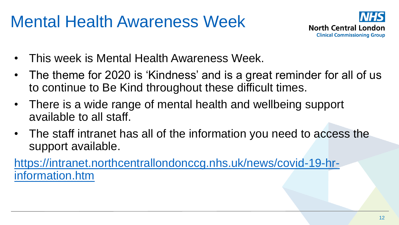# Mental Health Awareness Week



- This week is Mental Health Awareness Week.
- The theme for 2020 is 'Kindness' and is a great reminder for all of us to continue to Be Kind throughout these difficult times.
- There is a wide range of mental health and wellbeing support available to all staff.
- The staff intranet has all of the information you need to access the support available.

[https://intranet.northcentrallondonccg.nhs.uk/news/covid-19-hr](https://intranet.northcentrallondonccg.nhs.uk/news/covid-19-hr-information.htm)information.htm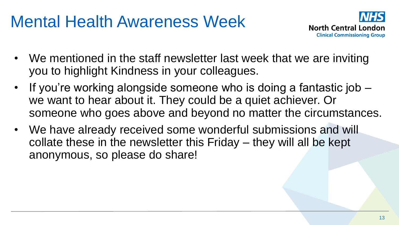### Mental Health Awareness Week



- We mentioned in the staff newsletter last week that we are inviting you to highlight Kindness in your colleagues.
- If you're working alongside someone who is doing a fantastic job we want to hear about it. They could be a quiet achiever. Or someone who goes above and beyond no matter the circumstances.
- We have already received some wonderful submissions and will collate these in the newsletter this Friday – they will all be kept anonymous, so please do share!